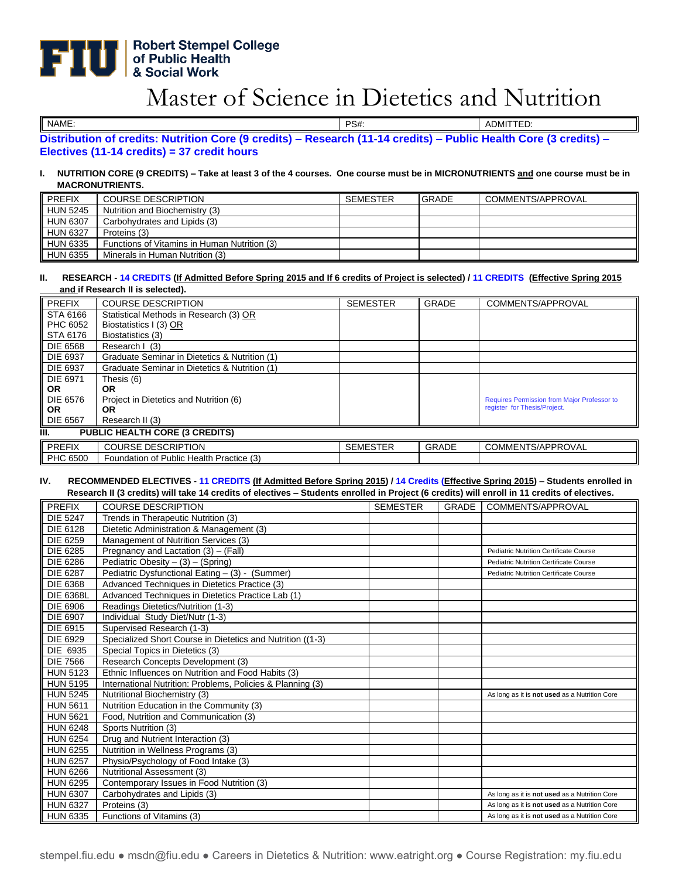# **Robert Stempel College<br>of Public Health<br>& Social Work**

## Master of Science in Dietetics and Nutrition

NAME: PS#: ADMITTED:

**Distribution of credits: Nutrition Core (9 credits) – Research (11-14 credits) – Public Health Core (3 credits) – Electives (11-14 credits) = 37 credit hours**

#### **I. NUTRITION CORE (9 CREDITS) – Take at least 3 of the 4 courses. One course must be in MICRONUTRIENTS and one course must be in MACRONUTRIENTS.**

| <b>PREFIX</b>   | <b>COURSE DESCRIPTION</b>                    | <b>SEMESTER</b> | <b>GRADE</b> | COMMENTS/APPROVAL |
|-----------------|----------------------------------------------|-----------------|--------------|-------------------|
| <b>HUN 5245</b> | Nutrition and Biochemistry (3)               |                 |              |                   |
| <b>HUN 6307</b> | Carbohydrates and Lipids (3)                 |                 |              |                   |
| <b>HUN 6327</b> | Proteins (3)                                 |                 |              |                   |
| <b>HUN 6335</b> | Functions of Vitamins in Human Nutrition (3) |                 |              |                   |
| <b>HUN 6355</b> | Minerals in Human Nutrition (3)              |                 |              |                   |

#### **II. RESEARCH - 14 CREDITS (If Admitted Before Spring 2015 and If 6 credits of Project is selected) / 11 CREDITS (Effective Spring 2015 and if Research II is selected).**

| PREFIX                                      | <b>COURSE DESCRIPTION</b>                     | <b>SEMESTER</b> | <b>GRADE</b> | COMMENTS/APPROVAL                                  |
|---------------------------------------------|-----------------------------------------------|-----------------|--------------|----------------------------------------------------|
| STA 6166                                    | Statistical Methods in Research (3) OR        |                 |              |                                                    |
| PHC 6052                                    | Biostatistics I (3) OR                        |                 |              |                                                    |
| STA 6176                                    | Biostatistics (3)                             |                 |              |                                                    |
| DIE 6568                                    | Research   (3)                                |                 |              |                                                    |
| DIE 6937                                    | Graduate Seminar in Dietetics & Nutrition (1) |                 |              |                                                    |
| <b>DIE 6937</b>                             | Graduate Seminar in Dietetics & Nutrition (1) |                 |              |                                                    |
| DIE 6971                                    | Thesis (6)                                    |                 |              |                                                    |
| <b>OR</b>                                   | <b>OR</b>                                     |                 |              |                                                    |
| DIE 6576                                    | Project in Dietetics and Nutrition (6)        |                 |              | <b>Requires Permission from Major Professor to</b> |
| <b>OR</b>                                   | OR                                            |                 |              | register for Thesis/Project.                       |
| <b>DIE 6567</b>                             | Research II (3)                               |                 |              |                                                    |
| <b>PUBLIC HEALTH CORE (3 CREDITS)</b><br>Ш. |                                               |                 |              |                                                    |
| PREFIX                                      | <b>COURSE DESCRIPTION</b>                     | <b>SEMESTER</b> | <b>GRADE</b> | COMMENTS/APPROVAL                                  |
| PHC 6500                                    | Foundation of Public Health Practice (3)      |                 |              |                                                    |

#### **IV. RECOMMENDED ELECTIVES - 11 CREDITS (If Admitted Before Spring 2015) / 14 Credits (Effective Spring 2015) – Students enrolled in Research II (3 credits) will take 14 credits of electives – Students enrolled in Project (6 credits) will enroll in 11 credits of electives.**

| <b>PREFIX</b>    | <b>COURSE DESCRIPTION</b>                                  | <b>SEMESTER</b> | GRADE | COMMENTS/APPROVAL                             |
|------------------|------------------------------------------------------------|-----------------|-------|-----------------------------------------------|
| <b>DIE 5247</b>  | Trends in Therapeutic Nutrition (3)                        |                 |       |                                               |
| DIE 6128         | Dietetic Administration & Management (3)                   |                 |       |                                               |
| <b>DIE 6259</b>  | Management of Nutrition Services (3)                       |                 |       |                                               |
| DIE 6285         | Pregnancy and Lactation (3) - (Fall)                       |                 |       | <b>Pediatric Nutrition Certificate Course</b> |
| DIE 6286         | Pediatric Obesity $- (3) - (Spring)$                       |                 |       | <b>Pediatric Nutrition Certificate Course</b> |
| DIE 6287         | Pediatric Dysfunctional Eating - (3) - (Summer)            |                 |       | <b>Pediatric Nutrition Certificate Course</b> |
| DIE 6368         | Advanced Techniques in Dietetics Practice (3)              |                 |       |                                               |
| <b>DIE 6368L</b> | Advanced Techniques in Dietetics Practice Lab (1)          |                 |       |                                               |
| DIE 6906         | Readings Dietetics/Nutrition (1-3)                         |                 |       |                                               |
| DIE 6907         | Individual Study Diet/Nutr (1-3)                           |                 |       |                                               |
| DIE 6915         | Supervised Research (1-3)                                  |                 |       |                                               |
| DIE 6929         | Specialized Short Course in Dietetics and Nutrition ((1-3) |                 |       |                                               |
| DIE 6935         | Special Topics in Dietetics (3)                            |                 |       |                                               |
| <b>DIE 7566</b>  | Research Concepts Development (3)                          |                 |       |                                               |
| <b>HUN 5123</b>  | Ethnic Influences on Nutrition and Food Habits (3)         |                 |       |                                               |
| <b>HUN 5195</b>  | International Nutrition: Problems, Policies & Planning (3) |                 |       |                                               |
| <b>HUN 5245</b>  | Nutritional Biochemistry (3)                               |                 |       | As long as it is not used as a Nutrition Core |
| <b>HUN 5611</b>  | Nutrition Education in the Community (3)                   |                 |       |                                               |
| <b>HUN 5621</b>  | Food, Nutrition and Communication (3)                      |                 |       |                                               |
| <b>HUN 6248</b>  | Sports Nutrition (3)                                       |                 |       |                                               |
| <b>HUN 6254</b>  | Drug and Nutrient Interaction (3)                          |                 |       |                                               |
| <b>HUN 6255</b>  | Nutrition in Wellness Programs (3)                         |                 |       |                                               |
| <b>HUN 6257</b>  | Physio/Psychology of Food Intake (3)                       |                 |       |                                               |
| <b>HUN 6266</b>  | Nutritional Assessment (3)                                 |                 |       |                                               |
| <b>HUN 6295</b>  | Contemporary Issues in Food Nutrition (3)                  |                 |       |                                               |
| <b>HUN 6307</b>  | Carbohydrates and Lipids (3)                               |                 |       | As long as it is not used as a Nutrition Core |
| <b>HUN 6327</b>  | Proteins (3)                                               |                 |       | As long as it is not used as a Nutrition Core |
| <b>HUN 6335</b>  | Functions of Vitamins (3)                                  |                 |       | As long as it is not used as a Nutrition Core |